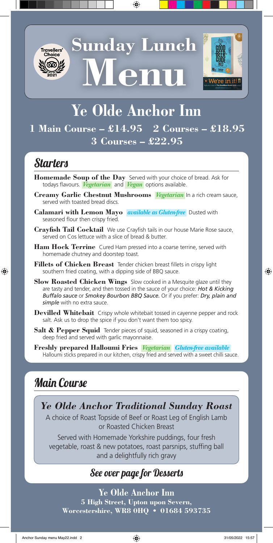

**Sunday Lunch Menu**



# **Ye Olde Anchor Inn**

#### **1 Main Course – £14.95 2 Courses – £18.95 3 Courses – £22.95**

## Starters

- **Homemade Soup of the Day** Served with your choice of bread. Ask for todays flavours. *Vegetarian* and *Vegan* options available.
- **Creamy Garlic Chestnut Mushrooms** *Vegetarian* In a rich cream sauce, served with toasted bread discs.
- **Calamari with Lemon Mayo** *available as Gluten-free*Dusted with seasoned flour then crispy fried.
- **Crayfish Tail Cocktail** We use Crayfish tails in our house Marie Rose sauce, served on Cos lettuce with a slice of bread & butter.
- **Ham Hock Terrine** Cured Ham pressed into a coarse terrine, served with homemade chutney and doorstep toast.
- **Fillets of Chicken Breast** Tender chicken breast fillets in crispy light southern fried coating, with a dipping side of BBQ sauce.
- **Slow Roasted Chicken Wings** Slow cooked in a Mesquite glaze until they are tasty and tender, and then tossed in the sauce of your choice: *Hot & Kicking Buffalo sauce* or *Smokey Bourbon BBQ Sauce.* Or if you prefer: *Dry, plain and simple* with no extra sauce.
- **Devilled Whitebait** Crispy whole whitebait tossed in cayenne pepper and rock salt. Ask us to drop the spice if you don't want them too spicy.
- **Salt & Pepper Squid** Tender pieces of squid, seasoned in a crispy coating, deep fried and served with garlic mayonnaise.
- **Freshly prepared Halloumi Fries** *Vegetarian Gluten-free available* Halloumi sticks prepared in our kitchen, crispy fried and served with a sweet chilli sauce.

### Main Course

*Ye Olde Anchor Traditional Sunday Roast*

A choice of Roast Topside of Beef or Roast Leg of English Lamb or Roasted Chicken Breast

Served with Homemade Yorkshire puddings, four fresh vegetable, roast & new potatoes, roast parsnips, stuffing ball and a delightfully rich gravy

#### See over page for Desserts

**Ye Olde Anchor Inn 5 High Street, Upton upon Severn, Worcestershire, WR8 0HQ • 01684 593735**